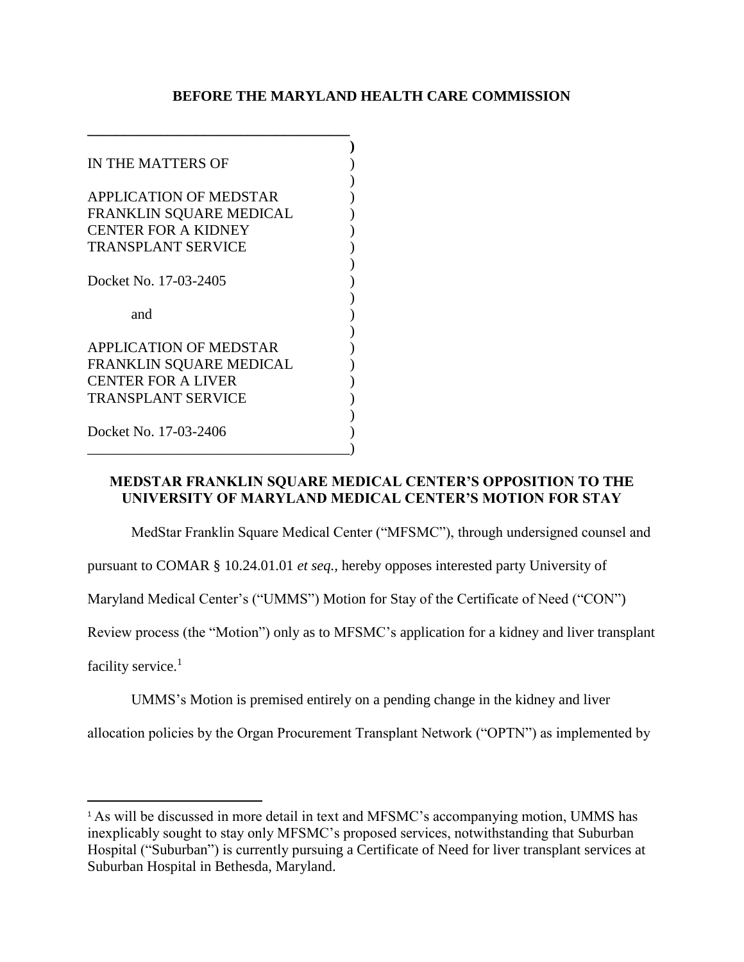## **BEFORE THE MARYLAND HEALTH CARE COMMISSION**

| IN THE MATTERS OF             |  |
|-------------------------------|--|
|                               |  |
| <b>APPLICATION OF MEDSTAR</b> |  |
| FRANKLIN SQUARE MEDICAL       |  |
| <b>CENTER FOR A KIDNEY</b>    |  |
| <b>TRANSPLANT SERVICE</b>     |  |
|                               |  |
| Docket No. 17-03-2405         |  |
|                               |  |
|                               |  |
| and                           |  |
|                               |  |
| <b>APPLICATION OF MEDSTAR</b> |  |
| FRANKLIN SQUARE MEDICAL       |  |
| <b>CENTER FOR A LIVER</b>     |  |
| <b>TRANSPLANT SERVICE</b>     |  |
|                               |  |
| Docket No. 17-03-2406         |  |

**\_\_\_\_\_\_\_\_\_\_\_\_\_\_\_\_\_\_\_\_\_\_\_\_\_\_\_\_\_\_\_\_\_\_\_\_**

## **MEDSTAR FRANKLIN SQUARE MEDICAL CENTER'S OPPOSITION TO THE UNIVERSITY OF MARYLAND MEDICAL CENTER'S MOTION FOR STAY**

MedStar Franklin Square Medical Center ("MFSMC"), through undersigned counsel and

pursuant to COMAR § 10.24.01.01 *et seq.,* hereby opposes interested party University of

Maryland Medical Center's ("UMMS") Motion for Stay of the Certificate of Need ("CON")

Review process (the "Motion") only as to MFSMC's application for a kidney and liver transplant

facility service.<sup>1</sup>

 $\overline{a}$ 

UMMS's Motion is premised entirely on a pending change in the kidney and liver

allocation policies by the Organ Procurement Transplant Network ("OPTN") as implemented by

<sup>&</sup>lt;sup>1</sup> As will be discussed in more detail in text and MFSMC's accompanying motion, UMMS has inexplicably sought to stay only MFSMC's proposed services, notwithstanding that Suburban Hospital ("Suburban") is currently pursuing a Certificate of Need for liver transplant services at Suburban Hospital in Bethesda, Maryland.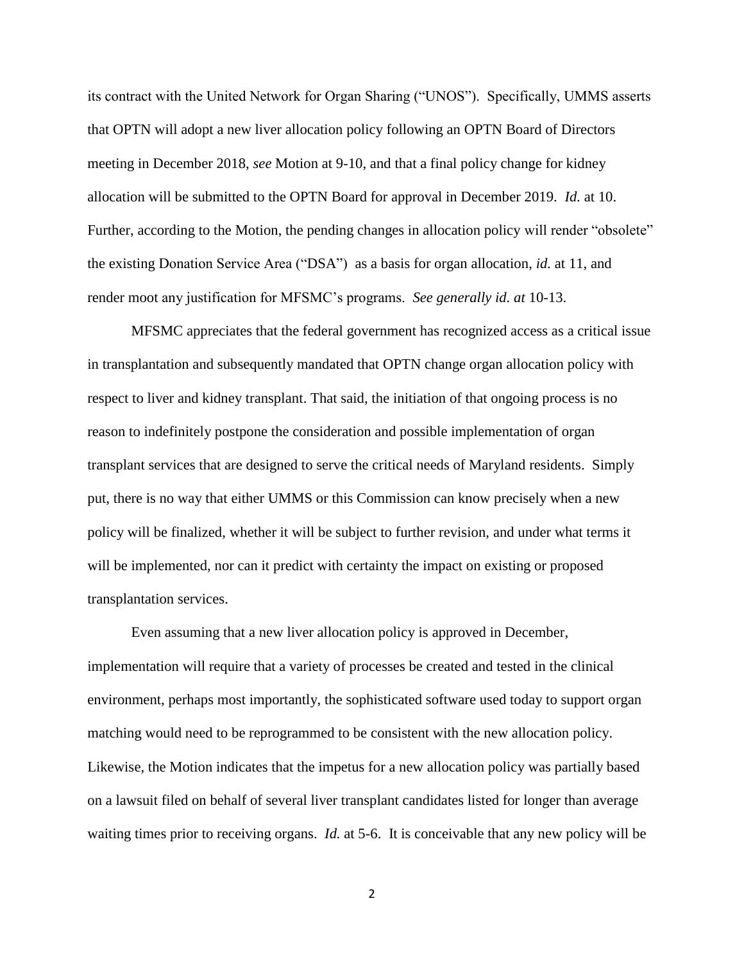its contract with the United Network for Organ Sharing ("UNOS"). Specifically, UMMS asserts that OPTN will adopt a new liver allocation policy following an OPTN Board of Directors meeting in December 2018, *see* Motion at 9-10, and that a final policy change for kidney allocation will be submitted to the OPTN Board for approval in December 2019. *Id.* at 10. Further, according to the Motion, the pending changes in allocation policy will render "obsolete" the existing Donation Service Area ("DSA") as a basis for organ allocation, *id.* at 11, and render moot any justification for MFSMC's programs. *See generally id. at* 10-13.

MFSMC appreciates that the federal government has recognized access as a critical issue in transplantation and subsequently mandated that OPTN change organ allocation policy with respect to liver and kidney transplant. That said, the initiation of that ongoing process is no reason to indefinitely postpone the consideration and possible implementation of organ transplant services that are designed to serve the critical needs of Maryland residents. Simply put, there is no way that either UMMS or this Commission can know precisely when a new policy will be finalized, whether it will be subject to further revision, and under what terms it will be implemented, nor can it predict with certainty the impact on existing or proposed transplantation services.

Even assuming that a new liver allocation policy is approved in December, implementation will require that a variety of processes be created and tested in the clinical environment, perhaps most importantly, the sophisticated software used today to support organ matching would need to be reprogrammed to be consistent with the new allocation policy. Likewise, the Motion indicates that the impetus for a new allocation policy was partially based on a lawsuit filed on behalf of several liver transplant candidates listed for longer than average waiting times prior to receiving organs. *Id.* at 5-6. It is conceivable that any new policy will be

2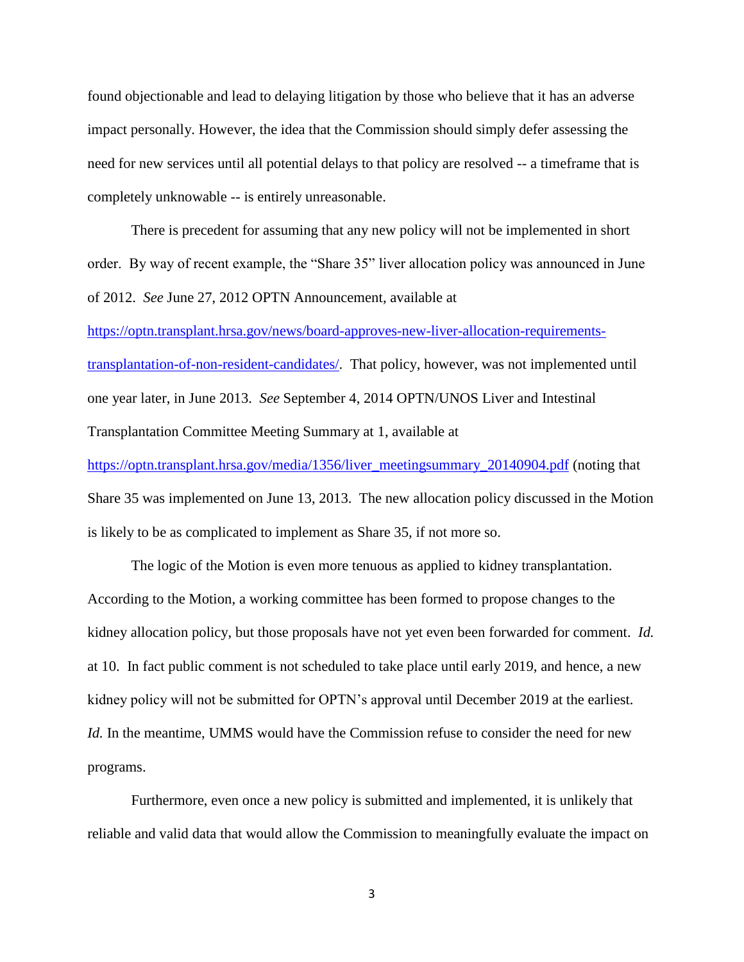found objectionable and lead to delaying litigation by those who believe that it has an adverse impact personally. However, the idea that the Commission should simply defer assessing the need for new services until all potential delays to that policy are resolved -- a timeframe that is completely unknowable -- is entirely unreasonable.

There is precedent for assuming that any new policy will not be implemented in short order. By way of recent example, the "Share 35" liver allocation policy was announced in June of 2012. *See* June 27, 2012 OPTN Announcement, available at

[https://optn.transplant.hrsa.gov/news/board-approves-new-liver-allocation-requirements](https://optn.transplant.hrsa.gov/news/board-approves-new-liver-allocation-requirements-transplantation-of-non-resident-candidates/)[transplantation-of-non-resident-candidates/.](https://optn.transplant.hrsa.gov/news/board-approves-new-liver-allocation-requirements-transplantation-of-non-resident-candidates/) That policy, however, was not implemented until one year later, in June 2013. *See* September 4, 2014 OPTN/UNOS Liver and Intestinal Transplantation Committee Meeting Summary at 1, available at [https://optn.transplant.hrsa.gov/media/1356/liver\\_meetingsummary\\_20140904.pdf](https://optn.transplant.hrsa.gov/media/1356/liver_meetingsummary_20140904.pdf) (noting that

Share 35 was implemented on June 13, 2013. The new allocation policy discussed in the Motion is likely to be as complicated to implement as Share 35, if not more so.

The logic of the Motion is even more tenuous as applied to kidney transplantation. According to the Motion, a working committee has been formed to propose changes to the kidney allocation policy, but those proposals have not yet even been forwarded for comment. *Id.*  at 10. In fact public comment is not scheduled to take place until early 2019, and hence, a new kidney policy will not be submitted for OPTN's approval until December 2019 at the earliest. *Id.* In the meantime, UMMS would have the Commission refuse to consider the need for new programs.

Furthermore, even once a new policy is submitted and implemented, it is unlikely that reliable and valid data that would allow the Commission to meaningfully evaluate the impact on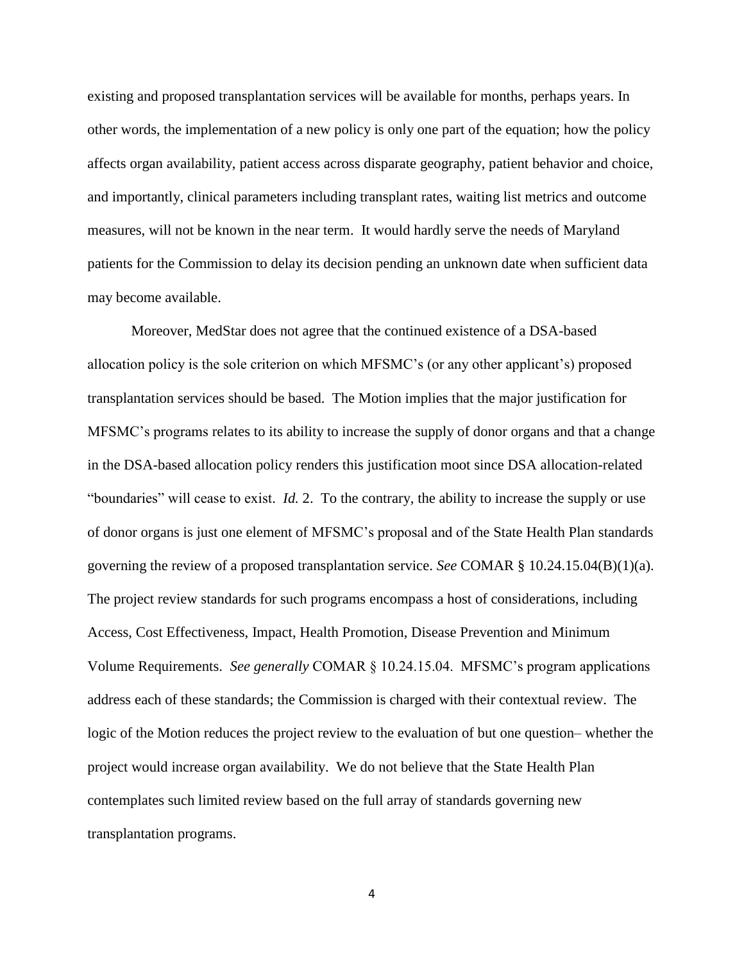existing and proposed transplantation services will be available for months, perhaps years. In other words, the implementation of a new policy is only one part of the equation; how the policy affects organ availability, patient access across disparate geography, patient behavior and choice, and importantly, clinical parameters including transplant rates, waiting list metrics and outcome measures, will not be known in the near term. It would hardly serve the needs of Maryland patients for the Commission to delay its decision pending an unknown date when sufficient data may become available.

Moreover, MedStar does not agree that the continued existence of a DSA-based allocation policy is the sole criterion on which MFSMC's (or any other applicant's) proposed transplantation services should be based. The Motion implies that the major justification for MFSMC's programs relates to its ability to increase the supply of donor organs and that a change in the DSA-based allocation policy renders this justification moot since DSA allocation-related "boundaries" will cease to exist. *Id.* 2. To the contrary, the ability to increase the supply or use of donor organs is just one element of MFSMC's proposal and of the State Health Plan standards governing the review of a proposed transplantation service. *See* COMAR § 10.24.15.04(B)(1)(a). The project review standards for such programs encompass a host of considerations, including Access, Cost Effectiveness, Impact, Health Promotion, Disease Prevention and Minimum Volume Requirements. *See generally* COMAR § 10.24.15.04. MFSMC's program applications address each of these standards; the Commission is charged with their contextual review. The logic of the Motion reduces the project review to the evaluation of but one question– whether the project would increase organ availability. We do not believe that the State Health Plan contemplates such limited review based on the full array of standards governing new transplantation programs.

4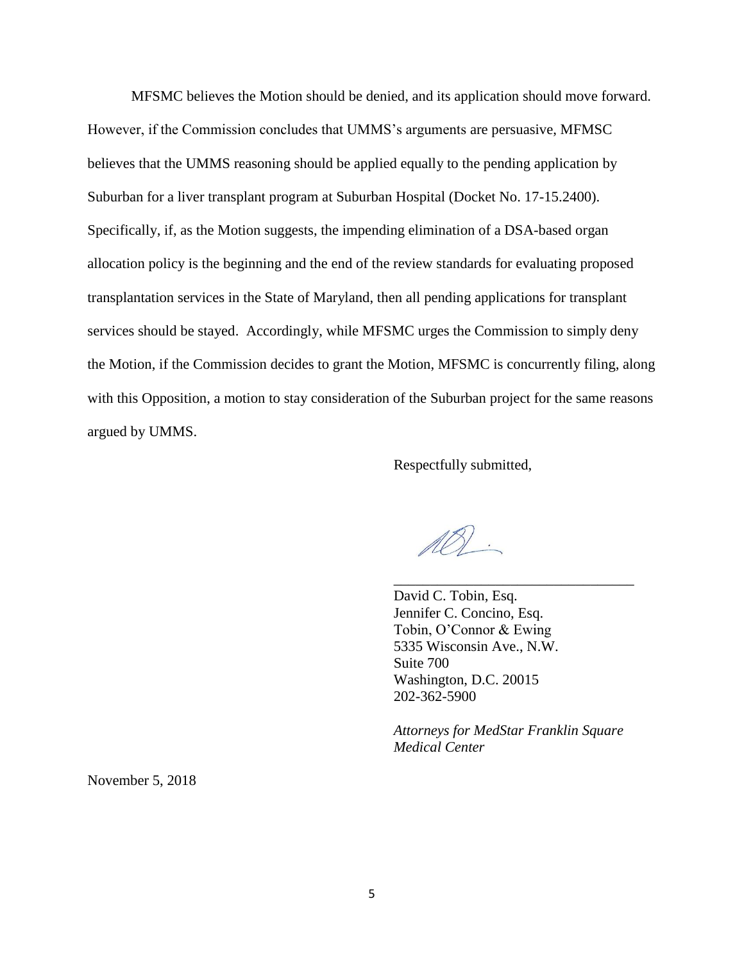MFSMC believes the Motion should be denied, and its application should move forward. However, if the Commission concludes that UMMS's arguments are persuasive, MFMSC believes that the UMMS reasoning should be applied equally to the pending application by Suburban for a liver transplant program at Suburban Hospital (Docket No. 17-15.2400). Specifically, if, as the Motion suggests, the impending elimination of a DSA-based organ allocation policy is the beginning and the end of the review standards for evaluating proposed transplantation services in the State of Maryland, then all pending applications for transplant services should be stayed. Accordingly, while MFSMC urges the Commission to simply deny the Motion, if the Commission decides to grant the Motion, MFSMC is concurrently filing, along with this Opposition, a motion to stay consideration of the Suburban project for the same reasons argued by UMMS.

Respectfully submitted,

 $\mathbb{A}\mathbb{S}$ .

David C. Tobin, Esq. Jennifer C. Concino, Esq. Tobin, O'Connor & Ewing 5335 Wisconsin Ave., N.W. Suite 700 Washington, D.C. 20015 202-362-5900

*Attorneys for MedStar Franklin Square Medical Center*

\_\_\_\_\_\_\_\_\_\_\_\_\_\_\_\_\_\_\_\_\_\_\_\_\_\_\_\_\_\_\_\_\_

November 5, 2018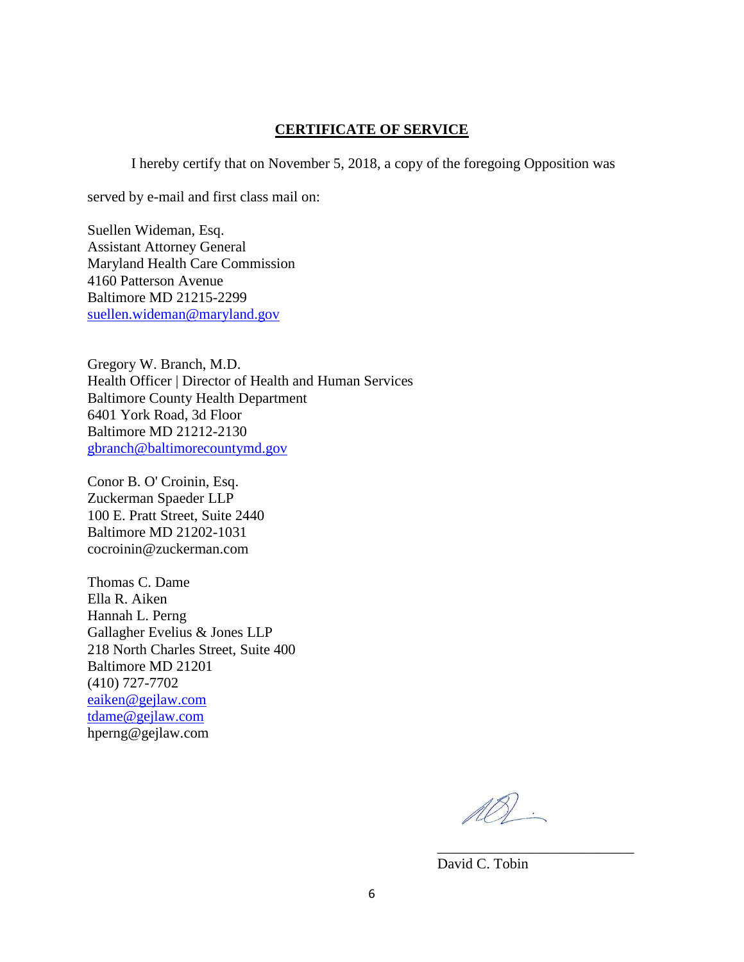## **CERTIFICATE OF SERVICE**

I hereby certify that on November 5, 2018, a copy of the foregoing Opposition was

served by e-mail and first class mail on:

Suellen Wideman, Esq. Assistant Attorney General Maryland Health Care Commission 4160 Patterson Avenue Baltimore MD 21215-2299 [suellen.wideman@maryland.gov](mailto:suellen.wideman@maryland.gov)

Gregory W. Branch, M.D. Health Officer | Director of Health and Human Services Baltimore County Health Department 6401 York Road, 3d Floor Baltimore MD 21212-2130 [gbranch@baltimorecountymd.gov](mailto:gbranch@baltimorecountymd.gov)

Conor B. O' Croinin, Esq. Zuckerman Spaeder LLP 100 E. Pratt Street, Suite 2440 Baltimore MD 21202-1031 cocroinin@zuckerman.com

Thomas C. Dame Ella R. Aiken Hannah L. Perng Gallagher Evelius & Jones LLP 218 North Charles Street, Suite 400 Baltimore MD 21201 (410) 727-7702 [eaiken@gejlaw.com](mailto:eaiken@gejlaw.com) [tdame@gejlaw.com](mailto:tdame@gejlaw.com) hperng@gejlaw.com

 $\mathbb{A}\mathbb{S}$ .

\_\_\_\_\_\_\_\_\_\_\_\_\_\_\_\_\_\_\_\_\_\_\_\_\_\_\_

David C. Tobin